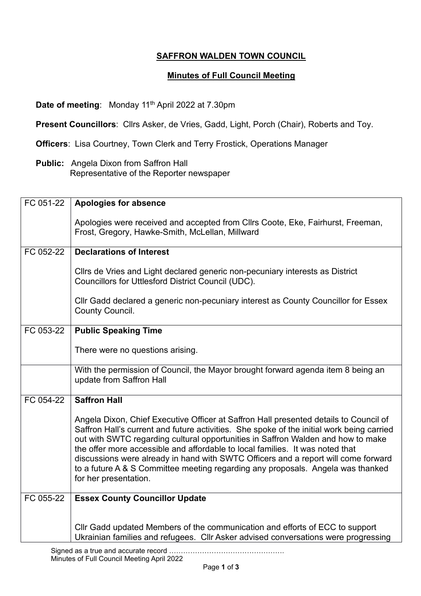## **SAFFRON WALDEN TOWN COUNCIL**

## **Minutes of Full Council Meeting**

**Date of meeting:** Monday 11<sup>th</sup> April 2022 at 7.30pm

**Present Councillors**: Cllrs Asker, de Vries, Gadd, Light, Porch (Chair), Roberts and Toy.

**Officers**: Lisa Courtney, Town Clerk and Terry Frostick, Operations Manager

**Public:** Angela Dixon from Saffron Hall Representative of the Reporter newspaper

| FC 051-22 | <b>Apologies for absence</b>                                                                                                                                                                                                                                                                                                                                                                                                                                                                                                                              |
|-----------|-----------------------------------------------------------------------------------------------------------------------------------------------------------------------------------------------------------------------------------------------------------------------------------------------------------------------------------------------------------------------------------------------------------------------------------------------------------------------------------------------------------------------------------------------------------|
|           | Apologies were received and accepted from Cllrs Coote, Eke, Fairhurst, Freeman,<br>Frost, Gregory, Hawke-Smith, McLellan, Millward                                                                                                                                                                                                                                                                                                                                                                                                                        |
| FC 052-22 | <b>Declarations of Interest</b>                                                                                                                                                                                                                                                                                                                                                                                                                                                                                                                           |
|           | Cllrs de Vries and Light declared generic non-pecuniary interests as District<br>Councillors for Uttlesford District Council (UDC).                                                                                                                                                                                                                                                                                                                                                                                                                       |
|           | Cllr Gadd declared a generic non-pecuniary interest as County Councillor for Essex<br>County Council.                                                                                                                                                                                                                                                                                                                                                                                                                                                     |
| FC 053-22 | <b>Public Speaking Time</b>                                                                                                                                                                                                                                                                                                                                                                                                                                                                                                                               |
|           | There were no questions arising.                                                                                                                                                                                                                                                                                                                                                                                                                                                                                                                          |
|           | With the permission of Council, the Mayor brought forward agenda item 8 being an<br>update from Saffron Hall                                                                                                                                                                                                                                                                                                                                                                                                                                              |
| FC 054-22 | <b>Saffron Hall</b>                                                                                                                                                                                                                                                                                                                                                                                                                                                                                                                                       |
|           | Angela Dixon, Chief Executive Officer at Saffron Hall presented details to Council of<br>Saffron Hall's current and future activities. She spoke of the initial work being carried<br>out with SWTC regarding cultural opportunities in Saffron Walden and how to make<br>the offer more accessible and affordable to local families. It was noted that<br>discussions were already in hand with SWTC Officers and a report will come forward<br>to a future A & S Committee meeting regarding any proposals. Angela was thanked<br>for her presentation. |
| FC 055-22 | <b>Essex County Councillor Update</b>                                                                                                                                                                                                                                                                                                                                                                                                                                                                                                                     |
|           |                                                                                                                                                                                                                                                                                                                                                                                                                                                                                                                                                           |
|           | Cllr Gadd updated Members of the communication and efforts of ECC to support<br>Ukrainian families and refugees. Cllr Asker advised conversations were progressing                                                                                                                                                                                                                                                                                                                                                                                        |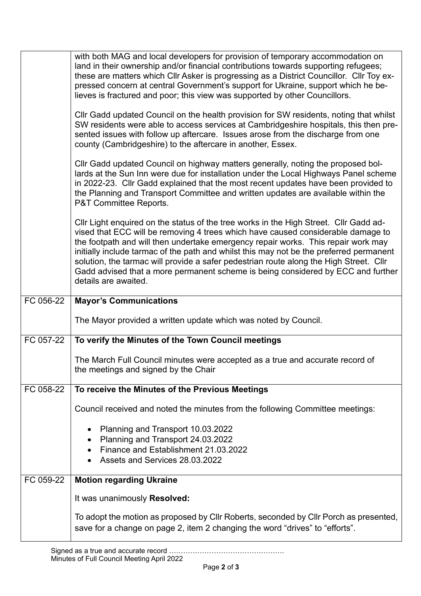|           | with both MAG and local developers for provision of temporary accommodation on<br>land in their ownership and/or financial contributions towards supporting refugees;<br>these are matters which Cllr Asker is progressing as a District Councillor. Cllr Toy ex-<br>pressed concern at central Government's support for Ukraine, support which he be-<br>lieves is fractured and poor; this view was supported by other Councillors.                                                                                                                           |
|-----------|-----------------------------------------------------------------------------------------------------------------------------------------------------------------------------------------------------------------------------------------------------------------------------------------------------------------------------------------------------------------------------------------------------------------------------------------------------------------------------------------------------------------------------------------------------------------|
|           | CIIr Gadd updated Council on the health provision for SW residents, noting that whilst<br>SW residents were able to access services at Cambridgeshire hospitals, this then pre-<br>sented issues with follow up aftercare. Issues arose from the discharge from one<br>county (Cambridgeshire) to the aftercare in another, Essex.                                                                                                                                                                                                                              |
|           | CIIr Gadd updated Council on highway matters generally, noting the proposed bol-<br>lards at the Sun Inn were due for installation under the Local Highways Panel scheme<br>in 2022-23. Cllr Gadd explained that the most recent updates have been provided to<br>the Planning and Transport Committee and written updates are available within the<br>P&T Committee Reports.                                                                                                                                                                                   |
|           | Cllr Light enquired on the status of the tree works in the High Street. Cllr Gadd ad-<br>vised that ECC will be removing 4 trees which have caused considerable damage to<br>the footpath and will then undertake emergency repair works. This repair work may<br>initially include tarmac of the path and whilst this may not be the preferred permanent<br>solution, the tarmac will provide a safer pedestrian route along the High Street. Cllr<br>Gadd advised that a more permanent scheme is being considered by ECC and further<br>details are awaited. |
|           |                                                                                                                                                                                                                                                                                                                                                                                                                                                                                                                                                                 |
| FC 056-22 | <b>Mayor's Communications</b>                                                                                                                                                                                                                                                                                                                                                                                                                                                                                                                                   |
|           | The Mayor provided a written update which was noted by Council.                                                                                                                                                                                                                                                                                                                                                                                                                                                                                                 |
| FC 057-22 | To verify the Minutes of the Town Council meetings                                                                                                                                                                                                                                                                                                                                                                                                                                                                                                              |
|           | The March Full Council minutes were accepted as a true and accurate record of<br>the meetings and signed by the Chair                                                                                                                                                                                                                                                                                                                                                                                                                                           |
| FC 058-22 | To receive the Minutes of the Previous Meetings                                                                                                                                                                                                                                                                                                                                                                                                                                                                                                                 |
|           | Council received and noted the minutes from the following Committee meetings:                                                                                                                                                                                                                                                                                                                                                                                                                                                                                   |
|           | Planning and Transport 10.03.2022<br>Planning and Transport 24.03.2022<br>Finance and Establishment 21.03.2022<br>Assets and Services 28.03.2022                                                                                                                                                                                                                                                                                                                                                                                                                |
| FC 059-22 | <b>Motion regarding Ukraine</b>                                                                                                                                                                                                                                                                                                                                                                                                                                                                                                                                 |
|           | It was unanimously Resolved:                                                                                                                                                                                                                                                                                                                                                                                                                                                                                                                                    |